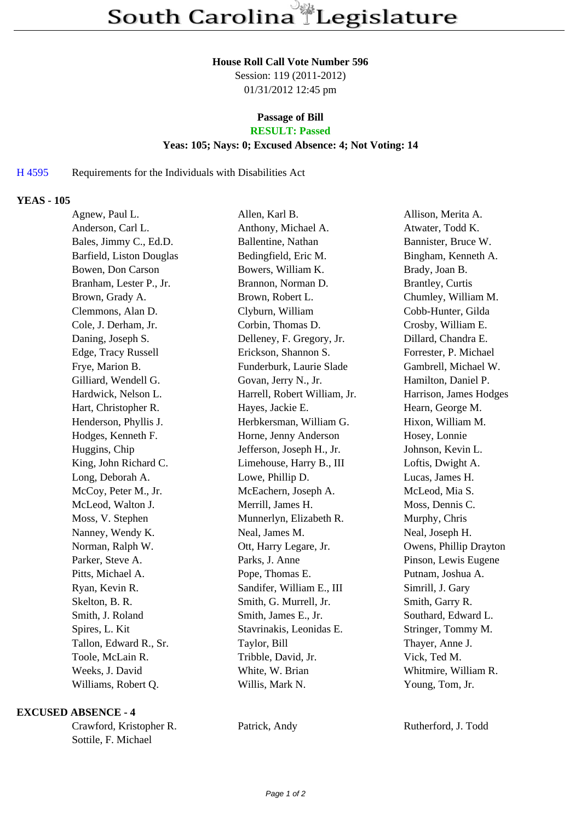#### **House Roll Call Vote Number 596**

Session: 119 (2011-2012) 01/31/2012 12:45 pm

# **Passage of Bill**

# **RESULT: Passed**

#### **Yeas: 105; Nays: 0; Excused Absence: 4; Not Voting: 14**

### H 4595 Requirements for the Individuals with Disabilities Act

### **YEAS - 105**

| Agnew, Paul L.           | Allen, Karl B.               | Allison, Merita A.     |
|--------------------------|------------------------------|------------------------|
| Anderson, Carl L.        | Anthony, Michael A.          | Atwater, Todd K.       |
| Bales, Jimmy C., Ed.D.   | Ballentine, Nathan           | Bannister, Bruce W.    |
| Barfield, Liston Douglas | Bedingfield, Eric M.         | Bingham, Kenneth A.    |
| Bowen, Don Carson        | Bowers, William K.           | Brady, Joan B.         |
| Branham, Lester P., Jr.  | Brannon, Norman D.           | Brantley, Curtis       |
| Brown, Grady A.          | Brown, Robert L.             | Chumley, William M.    |
| Clemmons, Alan D.        | Clyburn, William             | Cobb-Hunter, Gilda     |
| Cole, J. Derham, Jr.     | Corbin, Thomas D.            | Crosby, William E.     |
| Daning, Joseph S.        | Delleney, F. Gregory, Jr.    | Dillard, Chandra E.    |
| Edge, Tracy Russell      | Erickson, Shannon S.         | Forrester, P. Michael  |
| Frye, Marion B.          | Funderburk, Laurie Slade     | Gambrell, Michael W.   |
| Gilliard, Wendell G.     | Govan, Jerry N., Jr.         | Hamilton, Daniel P.    |
| Hardwick, Nelson L.      | Harrell, Robert William, Jr. | Harrison, James Hodges |
| Hart, Christopher R.     | Hayes, Jackie E.             | Hearn, George M.       |
| Henderson, Phyllis J.    | Herbkersman, William G.      | Hixon, William M.      |
| Hodges, Kenneth F.       | Horne, Jenny Anderson        | Hosey, Lonnie          |
| Huggins, Chip            | Jefferson, Joseph H., Jr.    | Johnson, Kevin L.      |
| King, John Richard C.    | Limehouse, Harry B., III     | Loftis, Dwight A.      |
| Long, Deborah A.         | Lowe, Phillip D.             | Lucas, James H.        |
| McCoy, Peter M., Jr.     | McEachern, Joseph A.         | McLeod, Mia S.         |
| McLeod, Walton J.        | Merrill, James H.            | Moss, Dennis C.        |
| Moss, V. Stephen         | Munnerlyn, Elizabeth R.      | Murphy, Chris          |
| Nanney, Wendy K.         | Neal, James M.               | Neal, Joseph H.        |
| Norman, Ralph W.         | Ott, Harry Legare, Jr.       | Owens, Phillip Drayton |
| Parker, Steve A.         | Parks, J. Anne               | Pinson, Lewis Eugene   |
| Pitts, Michael A.        | Pope, Thomas E.              | Putnam, Joshua A.      |
| Ryan, Kevin R.           | Sandifer, William E., III    | Simrill, J. Gary       |
| Skelton, B. R.           | Smith, G. Murrell, Jr.       | Smith, Garry R.        |
| Smith, J. Roland         | Smith, James E., Jr.         | Southard, Edward L.    |
| Spires, L. Kit           | Stavrinakis, Leonidas E.     | Stringer, Tommy M.     |
| Tallon, Edward R., Sr.   | Taylor, Bill                 | Thayer, Anne J.        |
| Toole, McLain R.         | Tribble, David, Jr.          | Vick, Ted M.           |
| Weeks, J. David          | White, W. Brian              | Whitmire, William R.   |
| Williams, Robert Q.      | Willis, Mark N.              | Young, Tom, Jr.        |

#### **EXCUSED ABSENCE - 4**

Crawford, Kristopher R. Patrick, Andy Rutherford, J. Todd Sottile, F. Michael